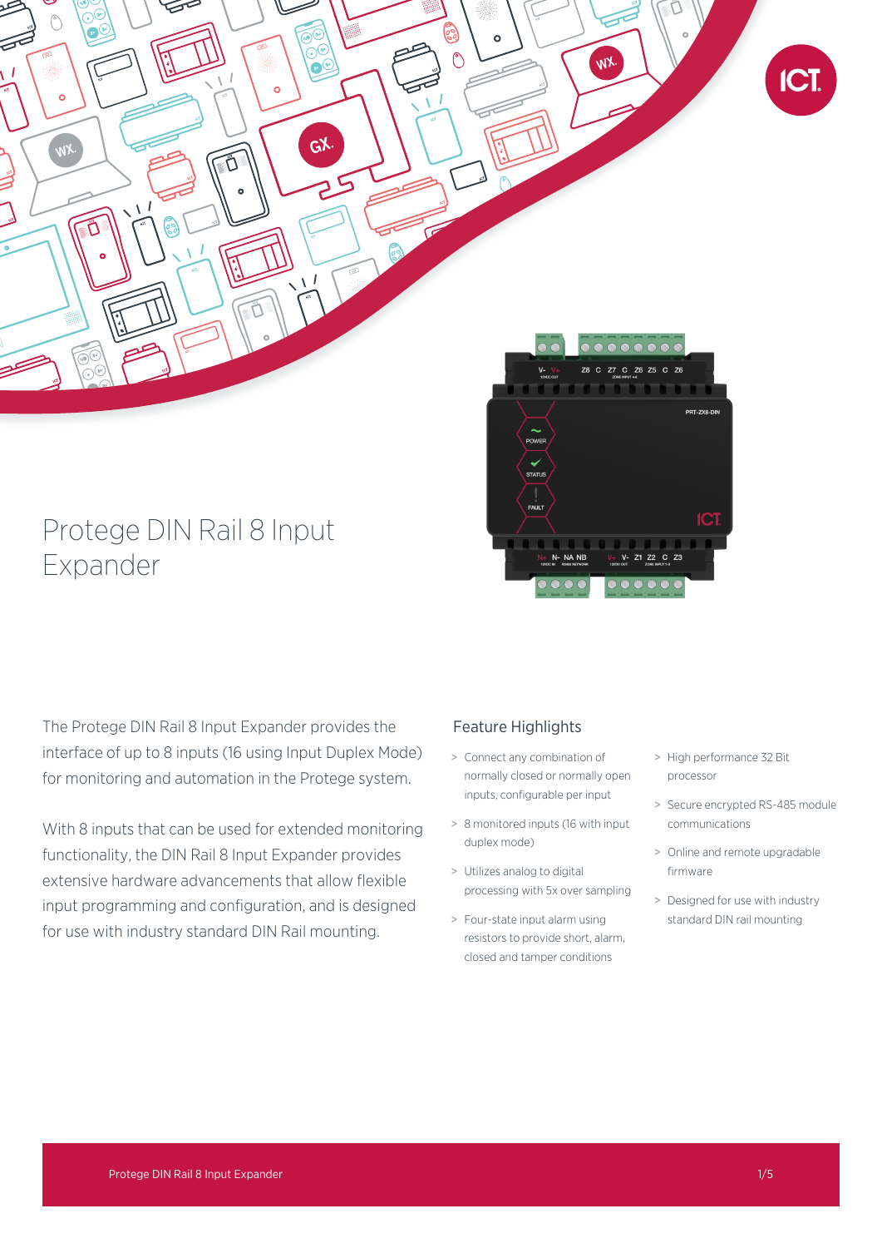

# Protege DIN Rail 8 Input Expander

The Protege DIN Rail 8 Input Expander provides the interface of up to 8 inputs (16 using Input Duplex Mode) for monitoring and automation in the Protege system.

With 8 inputs that can be used for extended monitoring functionality, the DIN Rail 8 Input Expander provides extensive hardware advancements that allow flexible input programming and configuration, and is designed for use with industry standard DIN Rail mounting.

## Feature Highlights

- > Connect any combination of normally closed or normally open inputs, configurable per input
- > 8 monitored inputs (16 with input duplex mode)
- > Utilizes analog to digital processing with 5x over sampling
- > Four-state input alarm using resistors to provide short, alarm, closed and tamper conditions
- > High performance 32 Bit processor
- > Secure encrypted RS-485 module communications
- > Online and remote upgradable firmware
- > Designed for use with industry standard DIN rail mounting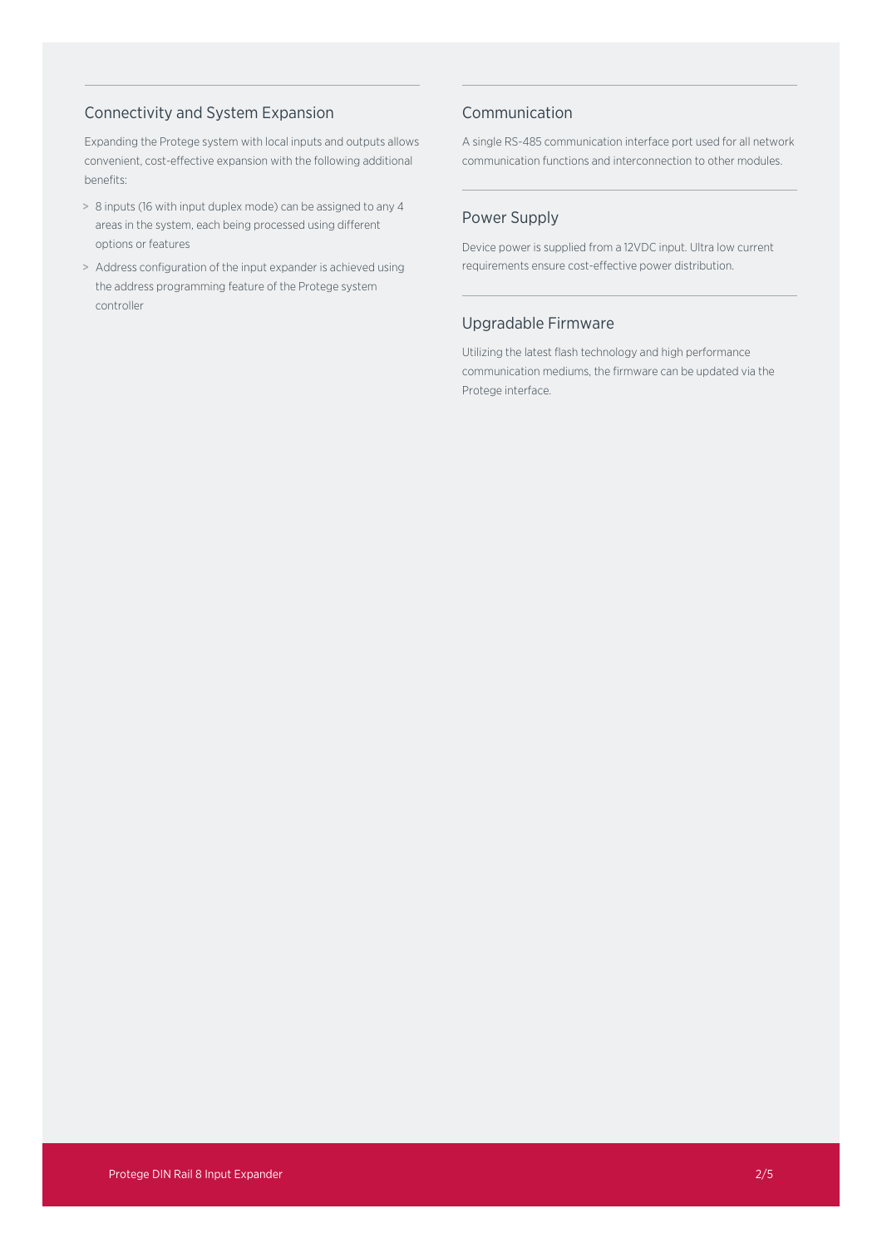## Connectivity and System Expansion

Expanding the Protege system with local inputs and outputs allows convenient, cost-effective expansion with the following additional benefits:

- > 8 inputs (16 with input duplex mode) can be assigned to any 4 areas in the system, each being processed using different options or features
- > Address configuration of the input expander is achieved using the address programming feature of the Protege system controller

## Communication

A single RS-485 communication interface port used for all network communication functions and interconnection to other modules.

## Power Supply

Device power is supplied from a 12VDC input. Ultra low current requirements ensure cost-effective power distribution.

## Upgradable Firmware

Utilizing the latest flash technology and high performance communication mediums, the firmware can be updated via the Protege interface.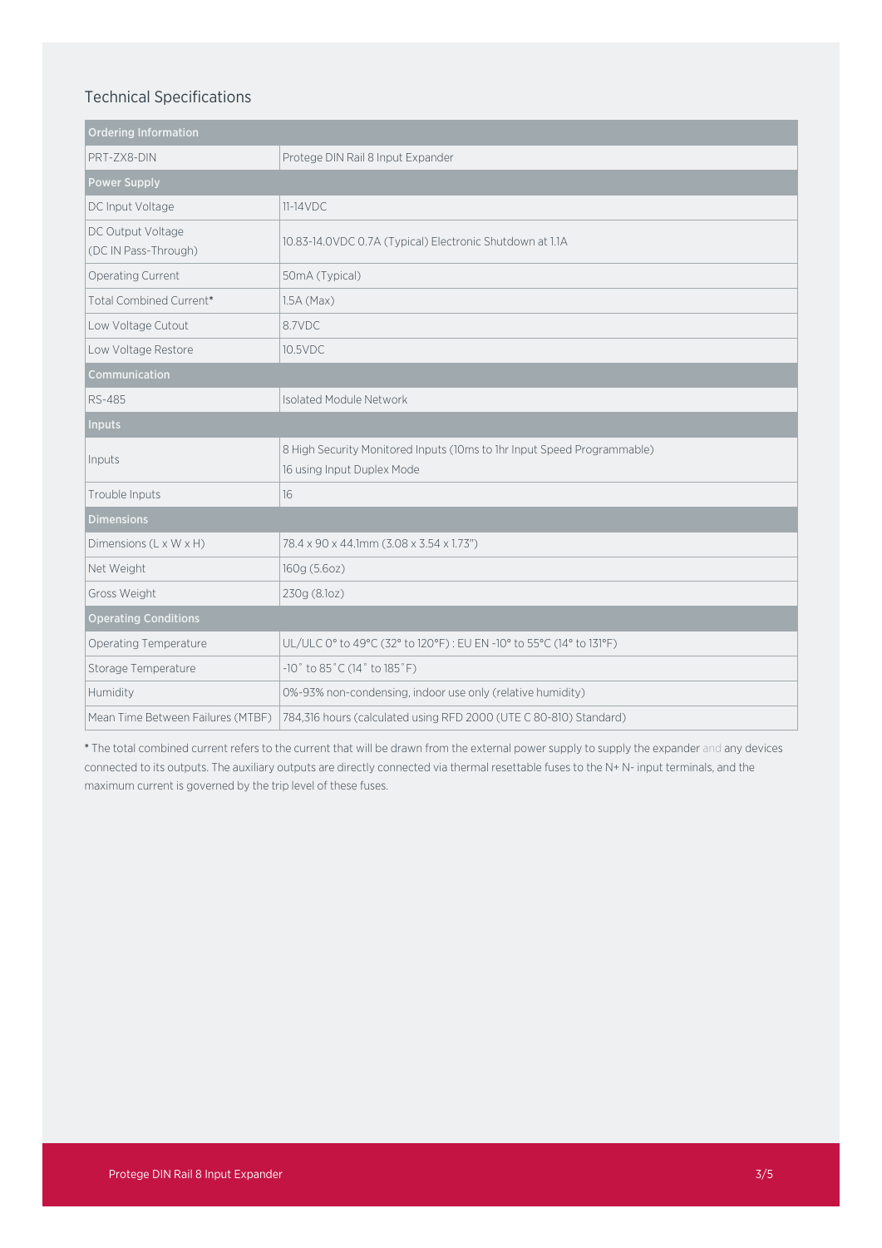## Technical Specifications

| <b>Ordering Information</b>               |                                                                                                       |
|-------------------------------------------|-------------------------------------------------------------------------------------------------------|
| PRT-ZX8-DIN                               | Protege DIN Rail 8 Input Expander                                                                     |
| <b>Power Supply</b>                       |                                                                                                       |
| DC Input Voltage                          | $11-14VDC$                                                                                            |
| DC Output Voltage<br>(DC IN Pass-Through) | 10.83-14.0VDC 0.7A (Typical) Electronic Shutdown at 1.1A                                              |
| Operating Current                         | 50mA (Typical)                                                                                        |
| Total Combined Current*                   | $1.5A$ (Max)                                                                                          |
| Low Voltage Cutout                        | 8.7VDC                                                                                                |
| Low Voltage Restore                       | 10.5VDC                                                                                               |
| Communication                             |                                                                                                       |
| <b>RS-485</b>                             | Isolated Module Network                                                                               |
| <b>Inputs</b>                             |                                                                                                       |
| Inputs                                    | 8 High Security Monitored Inputs (10ms to 1hr Input Speed Programmable)<br>16 using Input Duplex Mode |
| Trouble Inputs                            | 16                                                                                                    |
| <b>Dimensions</b>                         |                                                                                                       |
| Dimensions (L x W x H)                    | 78.4 x 90 x 44.1mm (3.08 x 3.54 x 1.73")                                                              |
| Net Weight                                | 160g (5.6oz)                                                                                          |
| Gross Weight                              | 230g (8.1oz)                                                                                          |
| <b>Operating Conditions</b>               |                                                                                                       |
| Operating Temperature                     | UL/ULC 0° to 49°C (32° to 120°F): EU EN -10° to 55°C (14° to 131°F)                                   |
| Storage Temperature                       | $-10$ ° to 85°C (14° to 185°F)                                                                        |
| Humidity                                  | 0%-93% non-condensing, indoor use only (relative humidity)                                            |
| Mean Time Between Failures (MTBF)         | 784,316 hours (calculated using RFD 2000 (UTE C 80-810) Standard)                                     |

\* The total combined current refers to the current that will be drawn from the external power supply to supply the expander and any devices connected to its outputs. The auxiliary outputs are directly connected via thermal resettable fuses to the N+ N- input terminals, and the maximum current is governed by the trip level of these fuses.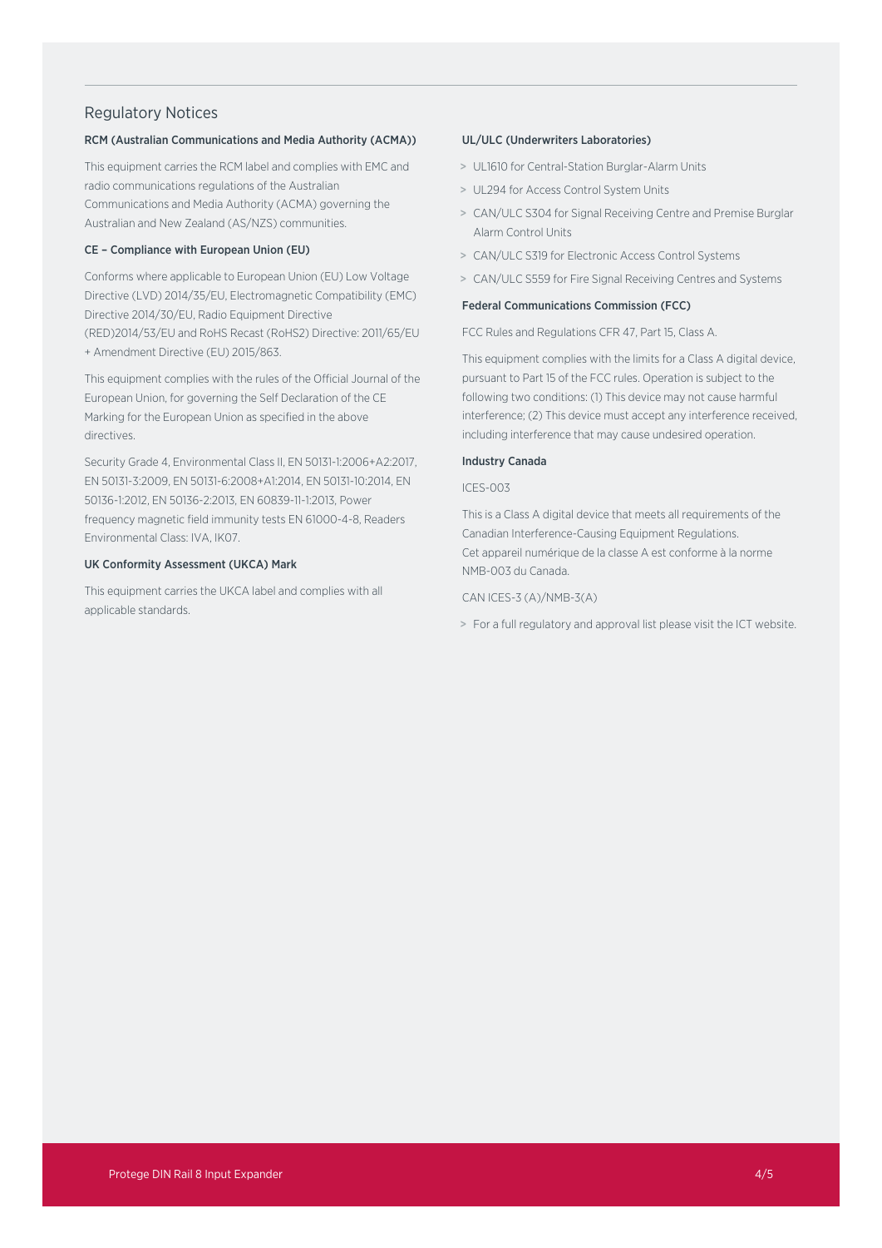### Regulatory Notices

#### RCM (Australian Communications and Media Authority (ACMA))

This equipment carries the RCM label and complies with EMC and radio communications regulations of the Australian Communications and Media Authority (ACMA) governing the Australian and New Zealand (AS/NZS) communities.

#### CE – Compliance with European Union (EU)

Conforms where applicable to European Union (EU) Low Voltage Directive (LVD) 2014/35/EU, Electromagnetic Compatibility (EMC) Directive 2014/30/EU, Radio Equipment Directive (RED)2014/53/EU and RoHS Recast (RoHS2) Directive: 2011/65/EU + Amendment Directive (EU) 2015/863.

This equipment complies with the rules of the Official Journal of the European Union, for governing the Self Declaration of the CE Marking for the European Union as specified in the above directives.

Security Grade 4, Environmental Class II, EN 50131-1:2006+A2:2017, EN 50131-3:2009, EN 50131-6:2008+A1:2014, EN 50131-10:2014, EN 50136-1:2012, EN 50136-2:2013, EN 60839-11-1:2013, Power frequency magnetic field immunity tests EN 61000-4-8, Readers Environmental Class: IVA, IK07.

#### UK Conformity Assessment (UKCA) Mark

This equipment carries the UKCA label and complies with all applicable standards.

#### UL/ULC (Underwriters Laboratories)

- > UL1610 for Central-Station Burglar-Alarm Units
- > UL294 for Access Control System Units
- > CAN/ULC S304 for Signal Receiving Centre and Premise Burglar Alarm Control Units
- > CAN/ULC S319 for Electronic Access Control Systems
- > CAN/ULC S559 for Fire Signal Receiving Centres and Systems

#### Federal Communications Commission (FCC)

FCC Rules and Regulations CFR 47, Part 15, Class A.

This equipment complies with the limits for a Class A digital device, pursuant to Part 15 of the FCC rules. Operation is subject to the following two conditions: (1) This device may not cause harmful interference; (2) This device must accept any interference received, including interference that may cause undesired operation.

#### Industry Canada

#### ICES-003

This is a Class A digital device that meets all requirements of the Canadian Interference-Causing Equipment Regulations. Cet appareil numérique de la classe A est conforme à la norme NMB-003 du Canada.

#### CAN ICES-3 (A)/NMB-3(A)

> For a full regulatory and approval list please visit the ICT website.